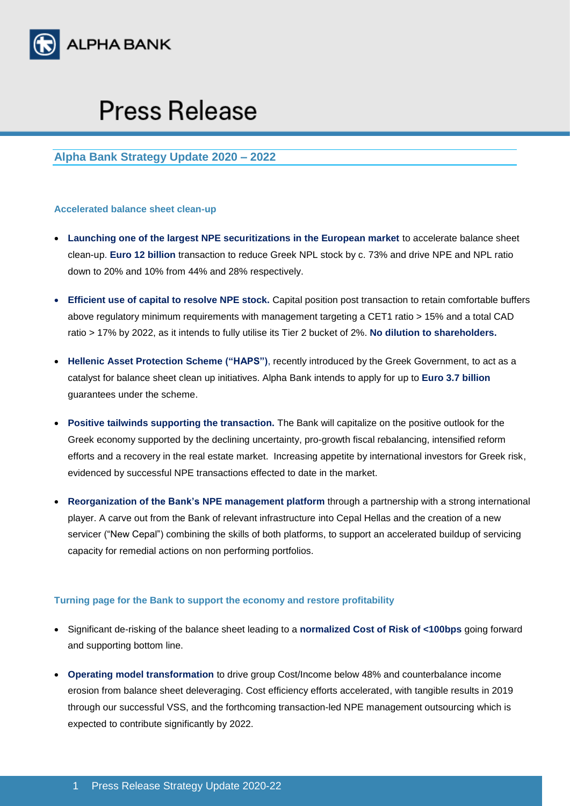

# **Press Release**

# **Alpha Bank Strategy Update 2020 – 2022**

## **Accelerated balance sheet clean-up**

- **Launching one of the largest NPE securitizations in the European market** to accelerate balance sheet clean-up. **Euro 12 billion** transaction to reduce Greek NPL stock by c. 73% and drive NPE and NPL ratio down to 20% and 10% from 44% and 28% respectively.
- **Efficient use of capital to resolve NPE stock.** Capital position post transaction to retain comfortable buffers above regulatory minimum requirements with management targeting a CET1 ratio > 15% and a total CAD ratio > 17% by 2022, as it intends to fully utilise its Tier 2 bucket of 2%. **No dilution to shareholders.**
- **Hellenic Asset Protection Scheme ("HAPS")**, recently introduced by the Greek Government, to act as a catalyst for balance sheet clean up initiatives. Alpha Bank intends to apply for up to **Euro 3.7 billion** guarantees under the scheme.
- **Positive tailwinds supporting the transaction.** The Bank will capitalize on the positive outlook for the Greek economy supported by the declining uncertainty, pro-growth fiscal rebalancing, intensified reform efforts and a recovery in the real estate market. Increasing appetite by international investors for Greek risk, evidenced by successful NPE transactions effected to date in the market.
- **Reorganization of the Bank's NPE management platform** through a partnership with a strong international player. A carve out from the Bank of relevant infrastructure into Cepal Hellas and the creation of a new servicer ("New Cepal") combining the skills of both platforms, to support an accelerated buildup of servicing capacity for remedial actions on non performing portfolios.

## **Turning page for the Bank to support the economy and restore profitability**

- Significant de-risking of the balance sheet leading to a **normalized Cost of Risk of <100bps** going forward and supporting bottom line.
- **Operating model transformation** to drive group Cost/Income below 48% and counterbalance income erosion from balance sheet deleveraging. Cost efficiency efforts accelerated, with tangible results in 2019 through our successful VSS, and the forthcoming transaction-led NPE management outsourcing which is expected to contribute significantly by 2022.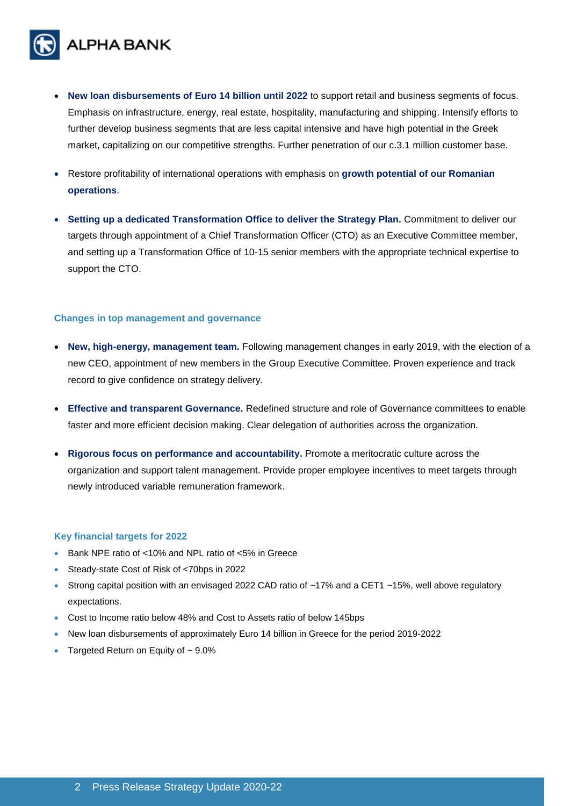

- **New loan disbursements of Euro 14 billion until 2022** to support retail and business segments of focus. Emphasis on infrastructure, energy, real estate, hospitality, manufacturing and shipping. Intensify efforts to further develop business segments that are less capital intensive and have high potential in the Greek market, capitalizing on our competitive strengths. Further penetration of our c.3.1 million customer base.
- Restore profitability of international operations with emphasis on **growth potential of our Romanian operations**.
- **Setting up a dedicated Transformation Office to deliver the Strategy Plan.** Commitment to deliver our targets through appointment of a Chief Transformation Officer (CTO) as an Executive Committee member, and setting up a Transformation Office of 10-15 senior members with the appropriate technical expertise to support the CTO.

## **Changes in top management and governance**

- **New, high-energy, management team.** Following management changes in early 2019, with the election of a new CEO, appointment of new members in the Group Executive Committee. Proven experience and track record to give confidence on strategy delivery.
- **Effective and transparent Governance.** Redefined structure and role of Governance committees to enable faster and more efficient decision making. Clear delegation of authorities across the organization.
- **Rigorous focus on performance and accountability.** Promote a meritocratic culture across the organization and support talent management. Provide proper employee incentives to meet targets through newly introduced variable remuneration framework.

#### **Key financial targets for 2022**

- Bank NPE ratio of <10% and NPL ratio of <5% in Greece
- Steady-state Cost of Risk of <70bps in 2022
- Strong capital position with an envisaged 2022 CAD ratio of  $~17\%$  and a CET1  $~15\%$ , well above regulatory expectations.
- Cost to Income ratio below 48% and Cost to Assets ratio of below 145bps
- New loan disbursements of approximately Euro 14 billion in Greece for the period 2019-2022
- Targeted Return on Equity of  $\sim$  9.0%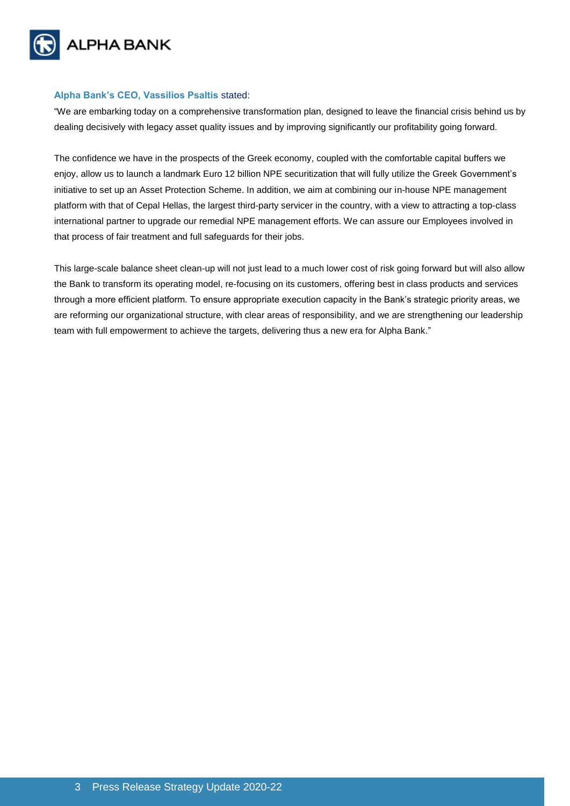

## **Alpha Bank's CEO, Vassilios Psaltis** stated:

"We are embarking today on a comprehensive transformation plan, designed to leave the financial crisis behind us by dealing decisively with legacy asset quality issues and by improving significantly our profitability going forward.

The confidence we have in the prospects of the Greek economy, coupled with the comfortable capital buffers we enjoy, allow us to launch a landmark Euro 12 billion NPE securitization that will fully utilize the Greek Government's initiative to set up an Asset Protection Scheme. In addition, we aim at combining our in-house NPE management platform with that of Cepal Hellas, the largest third-party servicer in the country, with a view to attracting a top-class international partner to upgrade our remedial NPE management efforts. We can assure our Employees involved in that process of fair treatment and full safeguards for their jobs.

This large-scale balance sheet clean-up will not just lead to a much lower cost of risk going forward but will also allow the Bank to transform its operating model, re-focusing on its customers, offering best in class products and services through a more efficient platform. To ensure appropriate execution capacity in the Bank's strategic priority areas, we are reforming our organizational structure, with clear areas of responsibility, and we are strengthening our leadership team with full empowerment to achieve the targets, delivering thus a new era for Alpha Bank."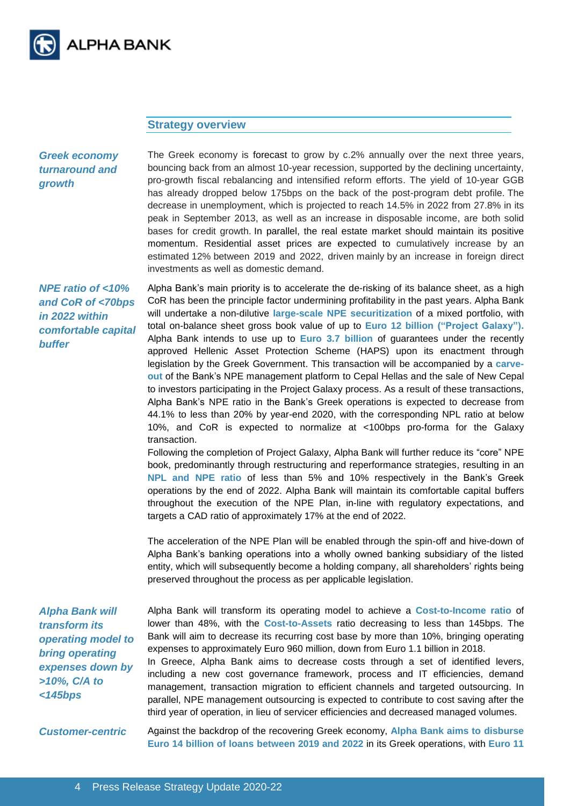

# **Strategy overview**

*Greek economy turnaround and growth*

The Greek economy is forecast to grow by c.2% annually over the next three years, bouncing back from an almost 10-year recession, supported by the declining uncertainty, pro-growth fiscal rebalancing and intensified reform efforts. The yield of 10-year GGB has already dropped below 175bps on the back of the post-program debt profile. The decrease in unemployment, which is projected to reach 14.5% in 2022 from 27.8% in its peak in September 2013, as well as an increase in disposable income, are both solid bases for credit growth. In parallel, the real estate market should maintain its positive momentum. Residential asset prices are expected to cumulatively increase by an estimated 12% between 2019 and 2022, driven mainly by an increase in foreign direct investments as well as domestic demand.

*NPE ratio of <10% and CoR of <70bps in 2022 within comfortable capital buffer*

Alpha Bank's main priority is to accelerate the de-risking of its balance sheet, as a high CoR has been the principle factor undermining profitability in the past years. Alpha Bank will undertake a non-dilutive **large-scale NPE securitization** of a mixed portfolio, with total on-balance sheet gross book value of up to **Euro 12 billion ("Project Galaxy").** Alpha Bank intends to use up to **Euro 3.7 billion** of guarantees under the recently approved Hellenic Asset Protection Scheme (HAPS) upon its enactment through legislation by the Greek Government. This transaction will be accompanied by a **carveout** of the Bank's NPE management platform to Cepal Hellas and the sale of New Cepal to investors participating in the Project Galaxy process. As a result of these transactions, Alpha Bank's NPE ratio in the Bank's Greek operations is expected to decrease from 44.1% to less than 20% by year-end 2020, with the corresponding NPL ratio at below 10%, and CoR is expected to normalize at <100bps pro-forma for the Galaxy transaction.

Following the completion of Project Galaxy, Alpha Bank will further reduce its "core" NPE book, predominantly through restructuring and reperformance strategies, resulting in an **NPL and NPE ratio** of less than 5% and 10% respectively in the Bank's Greek operations by the end of 2022. Alpha Bank will maintain its comfortable capital buffers throughout the execution of the NPE Plan, in-line with regulatory expectations, and targets a CAD ratio of approximately 17% at the end of 2022.

The acceleration of the NPE Plan will be enabled through the spin-off and hive-down of Alpha Bank's banking operations into a wholly owned banking subsidiary of the listed entity, which will subsequently become a holding company, all shareholders' rights being preserved throughout the process as per applicable legislation.

*Alpha Bank will transform its operating model to bring operating expenses down by >10%, C/A to <145bps*

Alpha Bank will transform its operating model to achieve a **Cost-to-Income ratio** of lower than 48%, with the **Cost-to-Assets** ratio decreasing to less than 145bps. The Bank will aim to decrease its recurring cost base by more than 10%, bringing operating expenses to approximately Euro 960 million, down from Euro 1.1 billion in 2018. In Greece, Alpha Bank aims to decrease costs through a set of identified levers, including a new cost governance framework, process and IT efficiencies, demand management, transaction migration to efficient channels and targeted outsourcing. In parallel, NPE management outsourcing is expected to contribute to cost saving after the

*Customer-centric* Against the backdrop of the recovering Greek economy, **Alpha Bank aims to disburse Euro 14 billion of loans between 2019 and 2022** in its Greek operations**,** with **Euro 11** 

third year of operation, in lieu of servicer efficiencies and decreased managed volumes.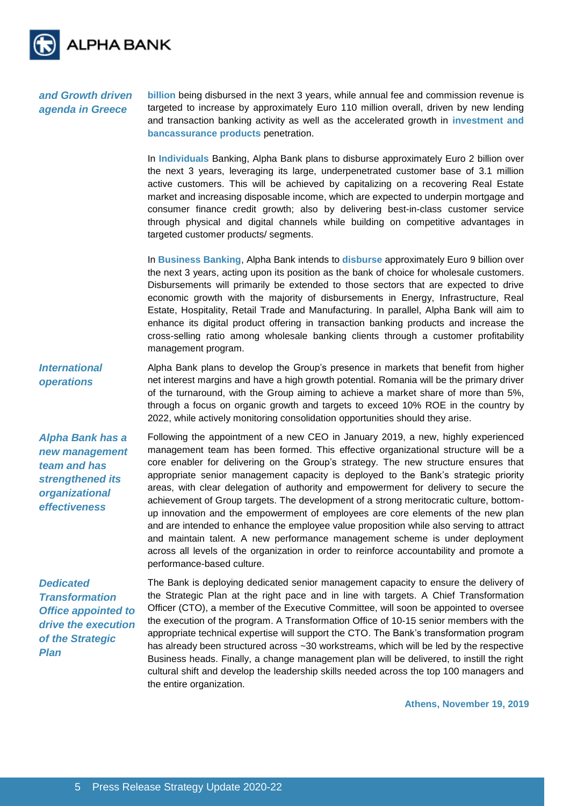

*and Growth driven agenda in Greece* **billion** being disbursed in the next 3 years, while annual fee and commission revenue is targeted to increase by approximately Euro 110 million overall, driven by new lending and transaction banking activity as well as the accelerated growth in **investment and bancassurance products** penetration.

> In **Individuals** Banking, Alpha Bank plans to disburse approximately Euro 2 billion over the next 3 years, leveraging its large, underpenetrated customer base of 3.1 million active customers. This will be achieved by capitalizing on a recovering Real Estate market and increasing disposable income, which are expected to underpin mortgage and consumer finance credit growth; also by delivering best-in-class customer service through physical and digital channels while building on competitive advantages in targeted customer products/ segments.

> In **Business Banking**, Alpha Bank intends to **disburse** approximately Euro 9 billion over the next 3 years, acting upon its position as the bank of choice for wholesale customers. Disbursements will primarily be extended to those sectors that are expected to drive economic growth with the majority of disbursements in Energy, Infrastructure, Real Estate, Hospitality, Retail Trade and Manufacturing. In parallel, Alpha Bank will aim to enhance its digital product offering in transaction banking products and increase the cross-selling ratio among wholesale banking clients through a customer profitability management program.

*International operations* Alpha Bank plans to develop the Group's presence in markets that benefit from higher net interest margins and have a high growth potential. Romania will be the primary driver of the turnaround, with the Group aiming to achieve a market share of more than 5%, through a focus on organic growth and targets to exceed 10% ROE in the country by 2022, while actively monitoring consolidation opportunities should they arise.

*Alpha Bank has a new management team and has strengthened its organizational effectiveness* 

Following the appointment of a new CEO in January 2019, a new, highly experienced management team has been formed. This effective organizational structure will be a core enabler for delivering on the Group's strategy. The new structure ensures that appropriate senior management capacity is deployed to the Bank's strategic priority areas, with clear delegation of authority and empowerment for delivery to secure the achievement of Group targets. The development of a strong meritocratic culture, bottomup innovation and the empowerment of employees are core elements of the new plan and are intended to enhance the employee value proposition while also serving to attract and maintain talent. A new performance management scheme is under deployment across all levels of the organization in order to reinforce accountability and promote a performance-based culture.

*Dedicated Transformation Office appointed to drive the execution of the Strategic Plan* 

The Bank is deploying dedicated senior management capacity to ensure the delivery of the Strategic Plan at the right pace and in line with targets. A Chief Transformation Officer (CTO), a member of the Executive Committee, will soon be appointed to oversee the execution of the program. A Transformation Office of 10-15 senior members with the appropriate technical expertise will support the CTO. The Bank's transformation program has already been structured across ~30 workstreams, which will be led by the respective Business heads. Finally, a change management plan will be delivered, to instill the right cultural shift and develop the leadership skills needed across the top 100 managers and the entire organization.

**Athens, November 19, 2019**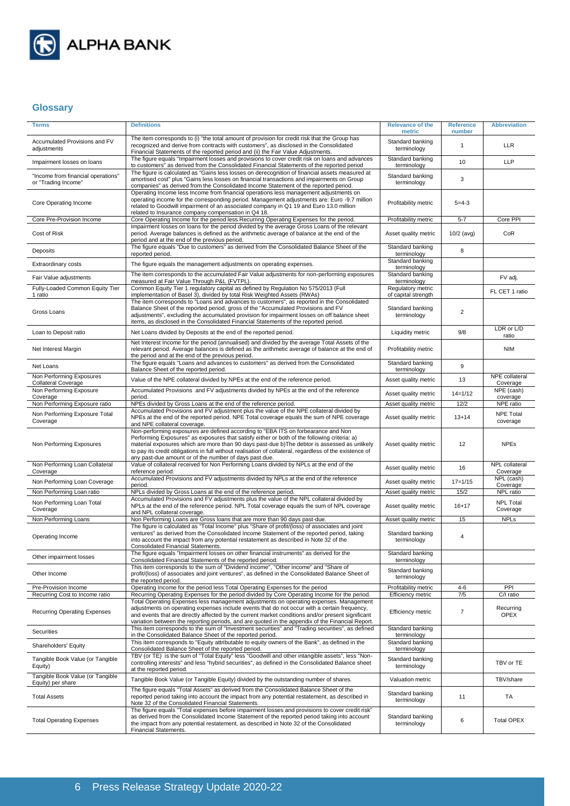

# **Glossary**

| <b>Terms</b>                                              | <b>Definitions</b>                                                                                                                                                                                                                                                                                                                                                                                                                                      | <b>Relevance of the</b><br>metric        | <b>Reference</b><br>number | <b>Abbreviation</b>          |
|-----------------------------------------------------------|---------------------------------------------------------------------------------------------------------------------------------------------------------------------------------------------------------------------------------------------------------------------------------------------------------------------------------------------------------------------------------------------------------------------------------------------------------|------------------------------------------|----------------------------|------------------------------|
| Accumulated Provisions and FV<br>adjustments              | The item corresponds to (i) "the total amount of provision for credit risk that the Group has<br>recognized and derive from contracts with customers", as disclosed in the Consolidated<br>Financial Statements of the reported period and (ii) the Fair Value Adjustments.                                                                                                                                                                             | Standard banking<br>terminology          | 1                          | LLR                          |
| Impairment losses on loans                                | The figure equals "Impairment losses and provisions to cover credit risk on loans and advances<br>to customers" as derived from the Consolidated Financial Statements of the reported period                                                                                                                                                                                                                                                            | Standard banking<br>terminology          | 10                         | <b>LLP</b>                   |
| "Income from financial operations"<br>or "Trading Income" | The figure is calculated as "Gains less losses on derecognition of financial assets measured at<br>amortised cost" plus "Gains less losses on financial transactions and impairments on Group<br>companies" as derived from the Consolidated Income Statement of the reported period.                                                                                                                                                                   | Standard banking<br>terminology          | 3                          |                              |
| Core Operating Income                                     | Operating Income less Income from financial operations less management adjustments on<br>operating income for the corresponding period. Management adjustments are: Euro -9.7 million<br>related to Goodwill impairment of an associated company in Q1 19 and Euro 13.0 million<br>related to Insurance company compensation in Q4 18.                                                                                                                  | Profitability metric                     | $5 = 4 - 3$                |                              |
| Core Pre-Provision Income                                 | Core Operating Income for the period less Recurring Operating Expenses for the period.                                                                                                                                                                                                                                                                                                                                                                  | Profitability metric                     | $5 - 7$                    | Core PPI                     |
| Cost of Risk                                              | Impairment losses on loans for the period divided by the average Gross Loans of the relevant<br>period. Average balances is defined as the arithmetic average of balance at the end of the<br>period and at the end of the previous period.                                                                                                                                                                                                             | Asset quality metric                     | $10/2$ (avg)               | CoR                          |
| Deposits                                                  | The figure equals "Due to customers" as derived from the Consolidated Balance Sheet of the<br>reported period.                                                                                                                                                                                                                                                                                                                                          | Standard banking<br>terminology          | 8                          |                              |
| <b>Extraordinary costs</b>                                | The figure equals the management adjustments on operating expenses.                                                                                                                                                                                                                                                                                                                                                                                     | Standard banking<br>terminology          |                            |                              |
| Fair Value adjustments                                    | The item corresponds to the accumulated Fair Value adjustments for non-performing exposures<br>measured at Fair Value Through P&L (FVTPL).                                                                                                                                                                                                                                                                                                              | Standard banking<br>terminology          |                            | FV adj.                      |
| Fully-Loaded Common Equity Tier<br>1 ratio                | Common Equity Tier 1 regulatory capital as defined by Regulation No 575/2013 (Full<br>implementation of Basel 3), divided by total Risk Weighted Assets (RWAs)                                                                                                                                                                                                                                                                                          | Regulatory metric<br>of capital strength |                            | FL CET 1 ratio               |
| Gross Loans                                               | The item corresponds to "Loans and advances to customers", as reported in the Consolidated<br>Balance Sheet of the reported period, gross of the "Accumulated Provisions and FV<br>adjustments", excluding the accumulated provision for impairment losses on off balance sheet<br>items, as disclosed in the Consolidated Financial Statements of the reported period.                                                                                 | Standard banking<br>terminology          | $\overline{2}$             |                              |
| Loan to Deposit ratio                                     | Net Loans divided by Deposits at the end of the reported period.                                                                                                                                                                                                                                                                                                                                                                                        | Liquidity metric                         | 9/8                        | LDR or L/D<br>ratio          |
| Net Interest Margin                                       | Net Interest Income for the period (annualised) and divided by the average Total Assets of the<br>relevant period. Average balances is defined as the arithmetic average of balance at the end of<br>the period and at the end of the previous period.                                                                                                                                                                                                  | Profitability metric                     |                            | <b>NIM</b>                   |
| Net Loans                                                 | The figure equals "Loans and advances to customers" as derived from the Consolidated<br>Balance Sheet of the reported period.                                                                                                                                                                                                                                                                                                                           | Standard banking<br>terminology          | 9                          |                              |
| Non Performing Exposures<br><b>Collateral Coverage</b>    | Value of the NPE collateral divided by NPEs at the end of the reference period.                                                                                                                                                                                                                                                                                                                                                                         | Asset quality metric                     | 13                         | NPE collateral<br>Coverage   |
| Non Performing Exposure<br>Coverage                       | Accumulated Provisions and FV adjustments divided by NPEs at the end of the reference<br>period.                                                                                                                                                                                                                                                                                                                                                        | Asset quality metric                     | $14 = 1/12$                | NPE (cash)<br>coverage       |
| Non Performing Exposure ratio                             | NPEs divided by Gross Loans at the end of the reference period.                                                                                                                                                                                                                                                                                                                                                                                         | Asset quality metric                     | 12/2                       | NPE ratio                    |
| Non Performing Exposure Total<br>Coverage                 | Accumulated Provisions and FV adjustment plus the value of the NPE collateral divided by<br>NPEs at the end of the reported period. NPE Total coverage equals the sum of NPE coverage<br>and NPE collateral coverage.                                                                                                                                                                                                                                   | Asset quality metric                     | $13 + 14$                  | <b>NPE Total</b><br>coverage |
| Non Performing Exposures                                  | Non-performing exposures are defined according to "EBA ITS on forbearance and Non<br>Performing Exposures" as exposures that satisfy either or both of the following criteria: a)<br>material exposures which are more than 90 days past-due b) The debtor is assessed as unlikely<br>to pay its credit obligations in full without realisation of collateral, regardless of the existence of<br>any past-due amount or of the number of days past due. | Asset quality metric                     | 12                         | <b>NPEs</b>                  |
| Non Performing Loan Collateral<br>Coverage                | Value of collateral received for Non Performing Loans divided by NPLs at the end of the<br>reference period.                                                                                                                                                                                                                                                                                                                                            | Asset quality metric                     | 16                         | NPL collateral<br>Coverage   |
| Non Performing Loan Coverage                              | Accumulated Provisions and FV adjustments divided by NPLs at the end of the reference<br>period.                                                                                                                                                                                                                                                                                                                                                        | Asset quality metric                     | $17 = 1/15$                | NPL (cash)<br>Coverage       |
| Non Performing Loan ratio                                 | NPLs divided by Gross Loans at the end of the reference period.                                                                                                                                                                                                                                                                                                                                                                                         | Asset quality metric                     | 15/2                       | NPL ratio                    |
| Non Performing Loan Total<br>Coverage                     | Accumulated Provisions and FV adjustments plus the value of the NPL collateral divided by<br>NPLs at the end of the reference period. NPL Total coverage equals the sum of NPL coverage<br>and NPL collateral coverage.                                                                                                                                                                                                                                 | Asset quality metric                     | $16 + 17$                  | <b>NPL Total</b><br>Coverage |
| Non Performing Loans                                      | Non Performing Loans are Gross loans that are more than 90 days past-due.                                                                                                                                                                                                                                                                                                                                                                               | Asset quality metric                     | 15                         | <b>NPLs</b>                  |
| Operating Income                                          | The figure is calculated as "Total Income" plus "Share of profit/(loss) of associates and joint<br>ventures" as derived from the Consolidated Income Statement of the reported period, taking<br>into account the impact from any potential restatement as described in Note 32 of the<br>Consolidated Financial Statements.                                                                                                                            | Standard banking<br>terminology          | 4                          |                              |
| Other impairment losses                                   | The figure equals "Impairment losses on other financial instruments" as derived for the<br>Consolidated Financial Statements of the reported period.                                                                                                                                                                                                                                                                                                    | Standard banking<br>terminology          |                            |                              |
| Other Income                                              | This item corresponds to the sum of "Dividend income", "Other income" and "Share of<br>profit/(loss) of associates and joint ventures", as defined in the Consolidated Balance Sheet of<br>the reported period.                                                                                                                                                                                                                                         | Standard banking<br>terminology          |                            |                              |
| Pre-Provision Income                                      | Operating Income for the period less Total Operating Expenses for the period                                                                                                                                                                                                                                                                                                                                                                            | Profitability metric                     | $4 - 6$                    | PPI                          |
| Recurring Cost to Income ratio                            | Recurring Operating Expenses for the period divided by Core Operating Income for the period.<br>Total Operating Expenses less management adjustments on operating expenses. Management                                                                                                                                                                                                                                                                  | Efficiency metric                        | 7/5                        | C/I ratio                    |
| <b>Recurring Operating Expenses</b>                       | adjustments on operating expenses include events that do not occur with a certain frequency,<br>and events that are directly affected by the current market conditions and/or present significant<br>variation between the reporting periods, and are quoted in the appendix of the Financial Report.                                                                                                                                                   | <b>Efficiency metric</b>                 | $\overline{7}$             | Recurring<br><b>OPEX</b>     |
| Securities                                                | This item corresponds to the sum of "Investment securities" and "Trading securities", as defined<br>in the Consolidated Balance Sheet of the reported period.                                                                                                                                                                                                                                                                                           | Standard banking<br>terminology          |                            |                              |
| Shareholders' Equity                                      | This item corresponds to "Equity attributable to equity owners of the Bank", as defined in the<br>Consolidated Balance Sheet of the reported period.                                                                                                                                                                                                                                                                                                    | Standard banking<br>terminology          |                            |                              |
| Tangible Book Value (or Tangible<br>Equity)               | TBV (or TE) is the sum of "Total Equity" less "Goodwill and other intangible assets", less "Non-<br>controlling interests" and less "hybrid securities", as defined in the Consolidated Balance sheet<br>at the reported period.                                                                                                                                                                                                                        | Standard banking<br>terminology          |                            | TBV or TE                    |
| Tangible Book Value (or Tangible<br>Equity) per share     | Tangible Book Value (or Tangible Equity) divided by the outstanding number of shares.                                                                                                                                                                                                                                                                                                                                                                   | Valuation metric                         |                            | TBV/share                    |
| <b>Total Assets</b>                                       | The figure equals "Total Assets" as derived from the Consolidated Balance Sheet of the<br>reported period taking into account the impact from any potential restatement, as described in<br>Note 32 of the Consolidated Financial Statements.                                                                                                                                                                                                           | Standard banking<br>terminology          | 11                         | TA                           |
| <b>Total Operating Expenses</b>                           | The figure equals "Total expenses before impairment losses and provisions to cover credit risk"<br>as derived from the Consolidated Income Statement of the reported period taking into account<br>the impact from any potential restatement, as described in Note 32 of the Consolidated<br>Financial Statements.                                                                                                                                      | Standard banking<br>terminology          | 6                          | <b>Total OPEX</b>            |